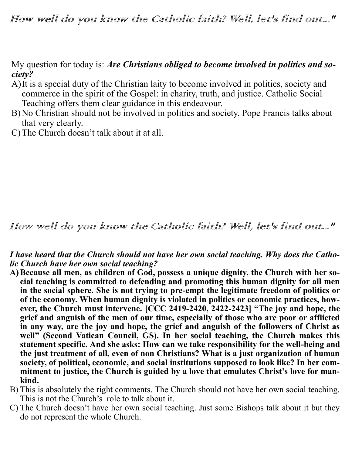My question for today is: *Are Christians obliged to become involved in politics and society?*

- A)It is a special duty of the Christian laity to become involved in politics, society and commerce in the spirit of the Gospel: in charity, truth, and justice. Catholic Social Teaching offers them clear guidance in this endeavour.
- B)No Christian should not be involved in politics and society. Pope Francis talks about that very clearly.
- C)The Church doesn't talk about it at all.

## How well do you know the Catholic faith? Well, let's find out..."

## *I have heard that the Church should not have her own social teaching. Why does the Catholic Church have her own social teaching?*

- **A)Because all men, as children of God, possess a unique dignity, the Church with her social teaching is committed to defending and promoting this human dignity for all men in the social sphere. She is not trying to pre-empt the legitimate freedom of politics or of the economy. When human dignity is violated in politics or economic practices, however, the Church must intervene. [CCC 2419-2420, 2422-2423] "The joy and hope, the grief and anguish of the men of our time, especially of those who are poor or afflicted in any way, are the joy and hope, the grief and anguish of the followers of Christ as**  well" (Second Vatican Council, GS). In her social teaching, the Church makes this **statement specific. And she asks: How can we take responsibility for the well-being and the just treatment of all, even of non Christians? What is a just organization of human society, of political, economic, and social institutions supposed to look like? In her commitment to justice, the Church is guided by a love that emulates Christ's love for mankind.**
- B) This is absolutely the right comments. The Church should not have her own social teaching. This is not the Church's role to talk about it.
- C) The Church doesn't have her own social teaching. Just some Bishops talk about it but they do not represent the whole Church.